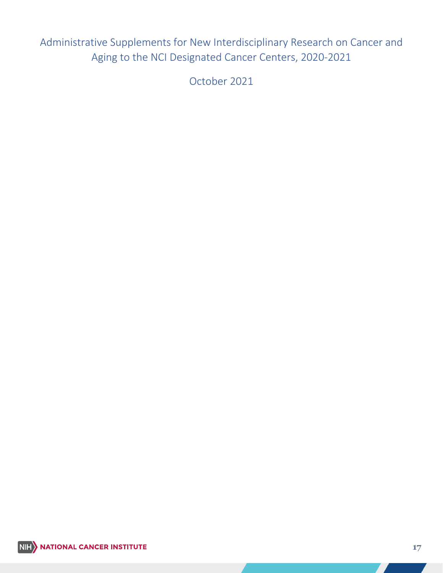Administrative Supplements for New Interdisciplinary Research on Cancer and Aging to the NCI Designated Cancer Centers, 2020-2021

October 2021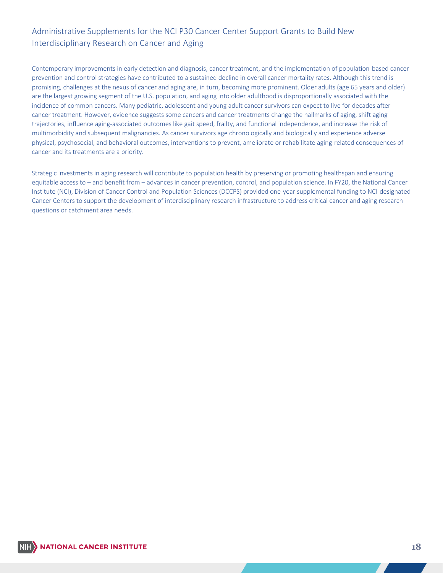# Administrative Supplements for the NCI P30 Cancer Center Support Grants to Build New Interdisciplinary Research on Cancer and Aging

 Contemporary improvements in early detection and diagnosis, cancer treatment, and the implementation of population-based cancer prevention and control strategies have contributed to a sustained decline in overall cancer mortality rates. Although this trend is promising, challenges at the nexus of cancer and aging are, in turn, becoming more prominent. Older adults (age 65 years and older) are the largest growing segment of the U.S. population, and aging into older adulthood is disproportionally associated with the incidence of common cancers. Many pediatric, adolescent and young adult cancer survivors can expect to live for decades after cancer treatment. However, evidence suggests some cancers and cancer treatments change the hallmarks of aging, shift aging trajectories, influence aging-associated outcomes like gait speed, frailty, and functional independence, and increase the risk of multimorbidity and subsequent malignancies. As cancer survivors age chronologically and biologically and experience adverse physical, psychosocial, and behavioral outcomes, interventions to prevent, ameliorate or rehabilitate aging-related consequences of cancer and its treatments are a priority.

 Strategic investments in aging research will contribute to population health by preserving or promoting healthspan and ensuring equitable access to – and benefit from – advances in cancer prevention, control, and population science. In FY20, the National Cancer Institute (NCI), Division of Cancer Control and Population Sciences (DCCPS) provided one-year supplemental funding to NCI-designated Cancer Centers to support the development of interdisciplinary research infrastructure to address critical cancer and aging research questions or catchment area needs.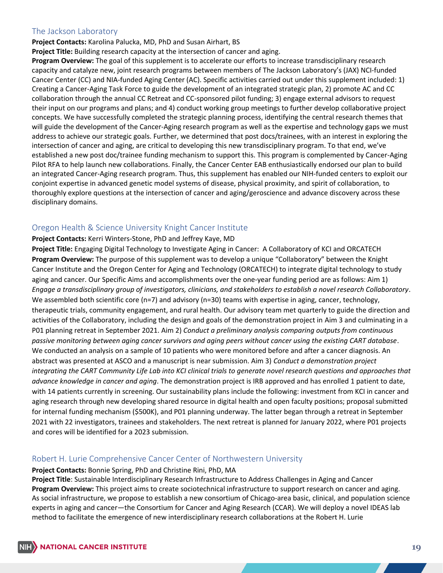## The Jackson Laboratory

**Project Contacts:** Karolina Palucka, MD, PhD and Susan Airhart, BS

**Project Title:** Building research capacity at the intersection of cancer and aging.

 **Program Overview:** The goal of this supplement is to accelerate our efforts to increase transdisciplinary research Cancer Center (CC) and NIA-funded Aging Center (AC). Specific activities carried out under this supplement included: 1) Creating a Cancer-Aging Task Force to guide the development of an integrated strategic plan, 2) promote AC and CC collaboration through the annual CC Retreat and CC-sponsored pilot funding; 3) engage external advisors to request their input on our programs and plans; and 4) conduct working group meetings to further develop collaborative project concepts. We have successfully completed the strategic planning process, identifying the central research themes that will guide the development of the Cancer-Aging research program as well as the expertise and technology gaps we must address to achieve our strategic goals. Further, we determined that post docs/trainees, with an interest in exploring the intersection of cancer and aging, are critical to developing this new transdisciplinary program. To that end, we've established a new post doc/trainee funding mechanism to support this. This program is complemented by Cancer-Aging Pilot RFA to help launch new collaborations. Finally, the Cancer Center EAB enthusiastically endorsed our plan to build an integrated Cancer-Aging research program. Thus, this supplement has enabled our NIH-funded centers to exploit our conjoint expertise in advanced genetic model systems of disease, physical proximity, and spirit of collaboration, to thoroughly explore questions at the intersection of cancer and aging/geroscience and advance discovery across these disciplinary domains. capacity and catalyze new, joint research programs between members of The Jackson Laboratory's (JAX) NCI-funded

## Oregon Health & Science University Knight Cancer Institute

### **Project Contacts:** Kerri Winters-Stone, PhD and Jeffrey Kaye, MD

 **Project Title:** Engaging Digital Technology to Investigate Aging in Cancer: A Collaboratory of KCI and ORCATECH **Program Overview:** The purpose of this supplement was to develop a unique "Collaboratory" between the Knight Cancer Institute and the Oregon Center for Aging and Technology (ORCATECH) to integrate digital technology to study aging and cancer. Our Specific Aims and accomplishments over the one-year funding period are as follows: Aim 1) We assembled both scientific core (n=7) and advisory (n=30) teams with expertise in aging, cancer, technology, therapeutic trials, community engagement, and rural health. Our advisory team met quarterly to guide the direction and activities of the Collaboratory, including the design and goals of the demonstration project in Aim 3 and culminating in a P01 planning retreat in September 2021. Aim 2) *Conduct a preliminary analysis comparing outputs from continuous*  We conducted an analysis on a sample of 10 patients who were monitored before and after a cancer diagnosis. An abstract was presented at ASCO and a manuscript is near submission. Aim 3) *Conduct a demonstration project integrating the CART Community Life Lab into KCI clinical trials to generate novel research questions and approaches that advance knowledge in cancer and aging*. The demonstration project is IRB approved and has enrolled 1 patient to date, with 14 patients currently in screening. Our sustainability plans include the following: investment from KCI in cancer and aging research through new developing shared resource in digital health and open faculty positions; proposal submitted for internal funding mechanism (\$500K), and P01 planning underway. The latter began through a retreat in September and cores will be identified for a 2023 submission. *Engage a transdisciplinary group of investigators, clinicians, and stakeholders to establish a novel research Collaboratory*. *passive monitoring between aging cancer survivors and aging peers without cancer using the existing CART database*. 2021 with 22 investigators, trainees and stakeholders. The next retreat is planned for January 2022, where P01 projects

## Robert H. Lurie Comprehensive Cancer Center of Northwestern University

### **Project Contacts:** Bonnie Spring, PhD and Christine Rini, PhD, MA

 **Project Title**: Sustainable Interdisciplinary Research Infrastructure to Address Challenges in Aging and Cancer  **Program Overview:** This project aims to create sociotechnical infrastructure to support research on cancer and aging. As social infrastructure, we propose to establish a new consortium of Chicago-area basic, clinical, and population science experts in aging and cancer—the Consortium for Cancer and Aging Research (CCAR). We will deploy a novel IDEAS lab method to facilitate the emergence of new interdisciplinary research collaborations at the Robert H. Lurie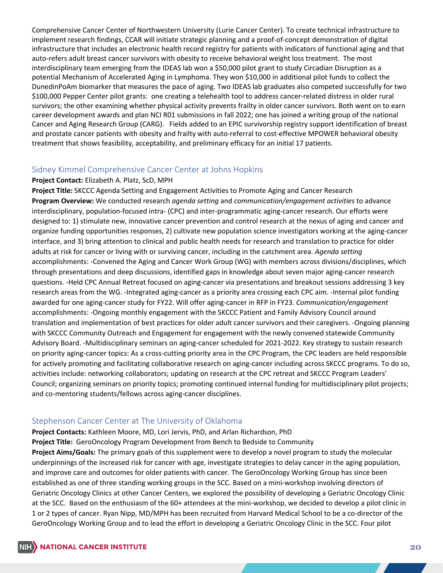Comprehensive Cancer Center of Northwestern University (Lurie Cancer Center). To create technical infrastructure to implement research findings, CCAR will initiate strategic planning and a proof-of-concept demonstration of digital infrastructure that includes an electronic health record registry for patients with indicators of functional aging and that auto-refers adult breast cancer survivors with obesity to receive behavioral weight loss treatment. The most interdisciplinary team emerging from the IDEAS lab won a \$50,000 pilot grant to study Circadian Disruption as a potential Mechanism of Accelerated Aging in Lymphoma. They won \$10,000 in additional pilot funds to collect the DunedinPoAm biomarker that measures the pace of aging. Two IDEAS lab graduates also competed successfully for two \$100,000 Pepper Center pilot grants: one creating a telehealth tool to address cancer-related distress in older rural survivors; the other examining whether physical activity prevents frailty in older cancer survivors. Both went on to earn career development awards and plan NCI R01 submissions in fall 2022; one has joined a writing group of the national Cancer and Aging Research Group (CARG). Fields added to an EPIC survivorship registry support identification of breast and prostate cancer patients with obesity and frailty with auto-referral to cost-effective MPOWER behavioral obesity treatment that shows feasibility, acceptability, and preliminary efficacy for an initial 17 patients.

## Sidney Kimmel Comprehensive Cancer Center at Johns Hopkins

#### **Project Contact:** Elizabeth A. Platz, ScD, MPH

 **Project Title:** SKCCC Agenda Setting and Engagement Activities to Promote Aging and Cancer Research organize funding opportunities responses, 2) cultivate new population science investigators working at the aging-cancer through presentations and deep discussions, identified gaps in knowledge about seven major aging-cancer research questions. -Held CPC Annual Retreat focused on aging-cancer via presentations and breakout sessions addressing 3 key research areas from the WG. -Integrated aging-cancer as a priority area crossing each CPC aim. -Internal pilot funding accomplishments: -Ongoing monthly engagement with the SKCCC Patient and Family Advisory Council around Advisory Board. -Multidisciplinary seminars on aging-cancer scheduled for 2021-2022. Key strategy to sustain research for actively promoting and facilitating collaborative research on aging-cancer including across SKCCC programs. To do so, Council; organizing seminars on priority topics; promoting continued internal funding for multidisciplinary pilot projects; **Program Overview:** We conducted research *agenda setting* and *communication/engagement activities* to advance interdisciplinary, population-focused intra- (CPC) and inter-programmatic aging-cancer research. Our efforts were designed to: 1) stimulate new, innovative cancer prevention and control research at the nexus of aging and cancer and interface, and 3) bring attention to clinical and public health needs for research and translation to practice for older adults at risk for cancer or living with or surviving cancer, including in the catchment area. *Agenda setting* accomplishments: -Convened the Aging and Cancer Work Group (WG) with members across divisions/disciplines, which awarded for one aging-cancer study for FY22. Will offer aging-cancer in RFP in FY23. *Communication/engagement* translation and implementation of best practices for older adult cancer survivors and their caregivers. -Ongoing planning with SKCCC Community Outreach and Engagement for engagement with the newly convened statewide Community on priority aging-cancer topics: As a cross-cutting priority area in the CPC Program, the CPC leaders are held responsible activities include: networking collaborators; updating on research at the CPC retreat and SKCCC Program Leaders' and co-mentoring students/fellows across aging-cancer disciplines.

## Stephenson Cancer Center at The University of Oklahoma

 **Project Contacts:** Kathleen Moore, MD, Lori Jervis, PhD, and Arlan Richardson, PhD **Project Title:** GeroOncology Program Development from Bench to Bedside to Community **Project Aims/Goals:** The primary goals of this supplement were to develop a novel program to study the molecular underpinnings of the increased risk for cancer with age, investigate strategies to delay cancer in the aging population, and improve care and outcomes for older patients with cancer. The GeroOncology Working Group has since been established as one of three standing working groups in the SCC. Based on a mini-workshop involving directors of Geriatric Oncology Clinics at other Cancer Centers, we explored the possibility of developing a Geriatric Oncology Clinic at the SCC. Based on the enthusiasm of the 60+ attendees at the mini-workshop, we decided to develop a pilot clinic in 1 or 2 types of cancer. Ryan Nipp, MD/MPH has been recruited from Harvard Medical School to be a co-director of the GeroOncology Working Group and to lead the effort in developing a Geriatric Oncology Clinic in the SCC. Four pilot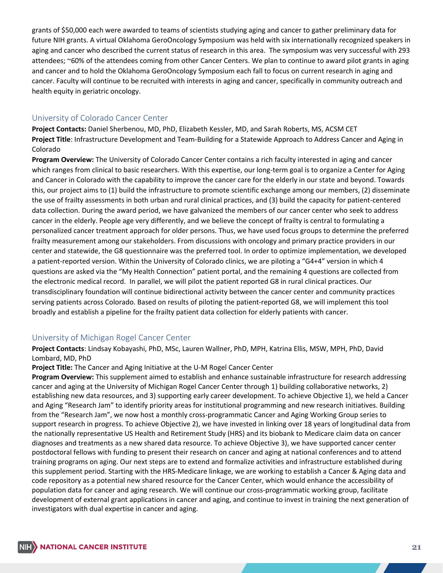aging and cancer who described the current status of research in this area. The symposium was very successful with 293 attendees; ~60% of the attendees coming from other Cancer Centers. We plan to continue to award pilot grants in aging and cancer and to hold the Oklahoma GeroOncology Symposium each fall to focus on current research in aging and cancer. Faculty will continue to be recruited with interests in aging and cancer, specifically in community outreach and grants of \$50,000 each were awarded to teams of scientists studying aging and cancer to gather preliminary data for future NIH grants. A virtual Oklahoma GeroOncology Symposium was held with six internationally recognized speakers in health equity in geriatric oncology.

## University of Colorado Cancer Center

 **Project Contacts:** Daniel Sherbenou, MD, PhD, Elizabeth Kessler, MD, and Sarah Roberts, MS, ACSM CET **Project Title**: Infrastructure Development and Team-Building for a Statewide Approach to Address Cancer and Aging in Colorado

 **Program Overview:** The University of Colorado Cancer Center contains a rich faculty interested in aging and cancer which ranges from clinical to basic researchers. With this expertise, our long-term goal is to organize a Center for Aging and Cancer in Colorado with the capability to improve the cancer care for the elderly in our state and beyond. Towards this, our project aims to (1) build the infrastructure to promote scientific exchange among our members, (2) disseminate the use of frailty assessments in both urban and rural clinical practices, and (3) build the capacity for patient-centered cancer in the elderly. People age very differently, and we believe the concept of frailty is central to formulating a personalized cancer treatment approach for older persons. Thus, we have used focus groups to determine the preferred center and statewide, the G8 questionnaire was the preferred tool. In order to optimize implementation, we developed the electronic medical record. In parallel, we will pilot the patient reported G8 in rural clinical practices. Our transdisciplinary foundation will continue bidirectional activity between the cancer center and community practices serving patients across Colorado. Based on results of piloting the patient-reported G8, we will implement this tool data collection. During the award period, we have galvanized the members of our cancer center who seek to address frailty measurement among our stakeholders. From discussions with oncology and primary practice providers in our a patient-reported version. Within the University of Colorado clinics, we are piloting a "G4+4" version in which 4 questions are asked via the "My Health Connection" patient portal, and the remaining 4 questions are collected from broadly and establish a pipeline for the frailty patient data collection for elderly patients with cancer.

## University of Michigan Rogel Cancer Center

 **Project Contacts**: Lindsay Kobayashi, PhD, MSc, Lauren Wallner, PhD, MPH, Katrina Ellis, MSW, MPH, PhD, David Lombard, MD, PhD

**Project Title:** The Cancer and Aging Initiative at the U-M Rogel Cancer Center

 **Program Overview:** This supplement aimed to establish and enhance sustainable infrastructure for research addressing cancer and aging at the University of Michigan Rogel Cancer Center through 1) building collaborative networks, 2) establishing new data resources, and 3) supporting early career development. To achieve Objective 1), we held a Cancer and Aging "Research Jam" to identify priority areas for institutional programming and new research initiatives. Building support research in progress. To achieve Objective 2), we have invested in linking over 18 years of longitudinal data from diagnoses and treatments as a new shared data resource. To achieve Objective 3), we have supported cancer center this supplement period. Starting with the HRS-Medicare linkage, we are working to establish a Cancer & Aging data and code repository as a potential new shared resource for the Cancer Center, which would enhance the accessibility of investigators with dual expertise in cancer and aging.from the "Research Jam", we now host a monthly cross-programmatic Cancer and Aging Working Group series to the nationally representative US Health and Retirement Study (HRS) and its biobank to Medicare claim data on cancer postdoctoral fellows with funding to present their research on cancer and aging at national conferences and to attend training programs on aging. Our next steps are to extend and formalize activities and infrastructure established during population data for cancer and aging research. We will continue our cross-programmatic working group, facilitate development of external grant applications in cancer and aging, and continue to invest in training the next generation of